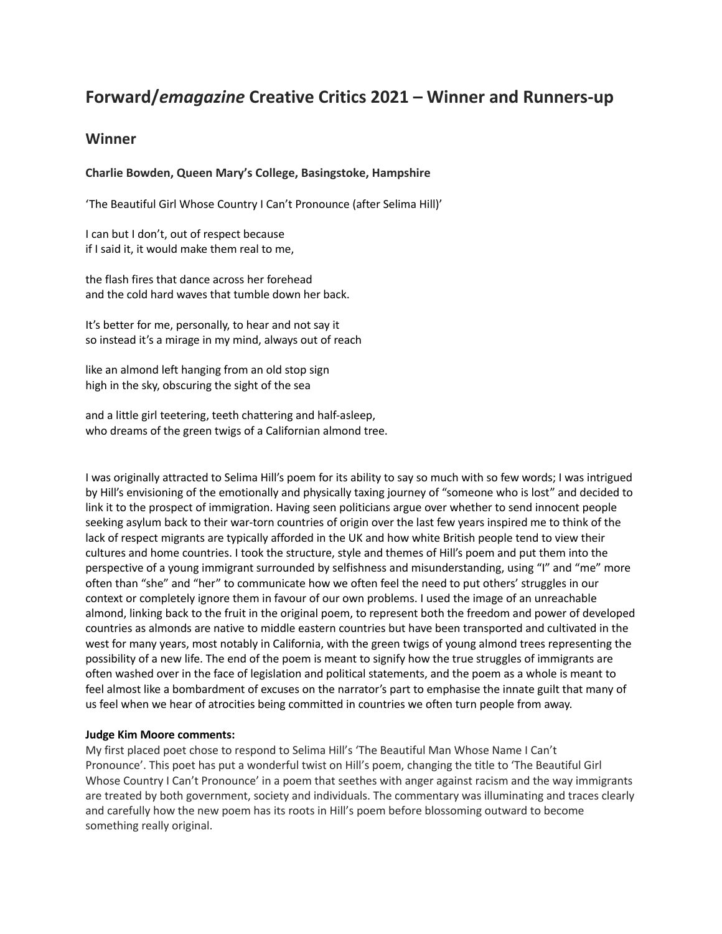# **Forward/***emagazine* **Creative Critics 2021 – Winner and Runners-up**

## **Winner**

## **Charlie Bowden, Queen Mary's College, Basingstoke, Hampshire**

'The Beautiful Girl Whose Country I Can't Pronounce (after Selima Hill)'

I can but I don't, out of respect because if I said it, it would make them real to me,

the flash fires that dance across her forehead and the cold hard waves that tumble down her back.

It's better for me, personally, to hear and not say it so instead it's a mirage in my mind, always out of reach

like an almond left hanging from an old stop sign high in the sky, obscuring the sight of the sea

and a little girl teetering, teeth chattering and half-asleep, who dreams of the green twigs of a Californian almond tree.

I was originally attracted to Selima Hill's poem for its ability to say so much with so few words; I was intrigued by Hill's envisioning of the emotionally and physically taxing journey of "someone who is lost" and decided to link it to the prospect of immigration. Having seen politicians argue over whether to send innocent people seeking asylum back to their war-torn countries of origin over the last few years inspired me to think of the lack of respect migrants are typically afforded in the UK and how white British people tend to view their cultures and home countries. I took the structure, style and themes of Hill's poem and put them into the perspective of a young immigrant surrounded by selfishness and misunderstanding, using "I" and "me" more often than "she" and "her" to communicate how we often feel the need to put others' struggles in our context or completely ignore them in favour of our own problems. I used the image of an unreachable almond, linking back to the fruit in the original poem, to represent both the freedom and power of developed countries as almonds are native to middle eastern countries but have been transported and cultivated in the west for many years, most notably in California, with the green twigs of young almond trees representing the possibility of a new life. The end of the poem is meant to signify how the true struggles of immigrants are often washed over in the face of legislation and political statements, and the poem as a whole is meant to feel almost like a bombardment of excuses on the narrator's part to emphasise the innate guilt that many of us feel when we hear of atrocities being committed in countries we often turn people from away.

## **Judge Kim Moore comments:**

My first placed poet chose to respond to Selima Hill's 'The Beautiful Man Whose Name I Can't Pronounce'. This poet has put a wonderful twist on Hill's poem, changing the title to 'The Beautiful Girl Whose Country I Can't Pronounce' in a poem that seethes with anger against racism and the way immigrants are treated by both government, society and individuals. The commentary was illuminating and traces clearly and carefully how the new poem has its roots in Hill's poem before blossoming outward to become something really original.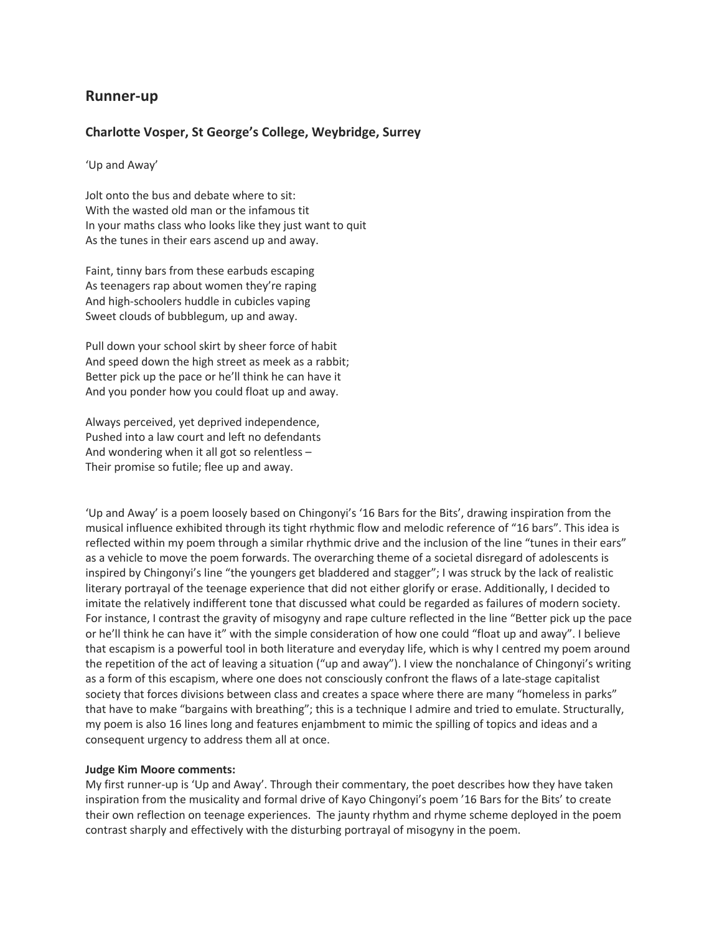# **Runner-up**

## **Charlotte Vosper, St George's College, Weybridge, Surrey**

'Up and Away'

Jolt onto the bus and debate where to sit: With the wasted old man or the infamous tit In your maths class who looks like they just want to quit As the tunes in their ears ascend up and away.

Faint, tinny bars from these earbuds escaping As teenagers rap about women they're raping And high-schoolers huddle in cubicles vaping Sweet clouds of bubblegum, up and away.

Pull down your school skirt by sheer force of habit And speed down the high street as meek as a rabbit; Better pick up the pace or he'll think he can have it And you ponder how you could float up and away.

Always perceived, yet deprived independence, Pushed into a law court and left no defendants And wondering when it all got so relentless – Their promise so futile; flee up and away.

'Up and Away' is a poem loosely based on Chingonyi's '16 Bars for the Bits', drawing inspiration from the musical influence exhibited through its tight rhythmic flow and melodic reference of "16 bars". This idea is reflected within my poem through a similar rhythmic drive and the inclusion of the line "tunes in their ears" as a vehicle to move the poem forwards. The overarching theme of a societal disregard of adolescents is inspired by Chingonyi's line "the youngers get bladdered and stagger"; I was struck by the lack of realistic literary portrayal of the teenage experience that did not either glorify or erase. Additionally, I decided to imitate the relatively indifferent tone that discussed what could be regarded as failures of modern society. For instance, I contrast the gravity of misogyny and rape culture reflected in the line "Better pick up the pace or he'll think he can have it" with the simple consideration of how one could "float up and away". I believe that escapism is a powerful tool in both literature and everyday life, which is why I centred my poem around the repetition of the act of leaving a situation ("up and away"). I view the nonchalance of Chingonyi's writing as a form of this escapism, where one does not consciously confront the flaws of a late-stage capitalist society that forces divisions between class and creates a space where there are many "homeless in parks" that have to make "bargains with breathing"; this is a technique I admire and tried to emulate. Structurally, my poem is also 16 lines long and features enjambment to mimic the spilling of topics and ideas and a consequent urgency to address them all at once.

## **Judge Kim Moore comments:**

My first runner-up is 'Up and Away'. Through their commentary, the poet describes how they have taken inspiration from the musicality and formal drive of Kayo Chingonyi's poem '16 Bars for the Bits' to create their own reflection on teenage experiences. The jaunty rhythm and rhyme scheme deployed in the poem contrast sharply and effectively with the disturbing portrayal of misogyny in the poem.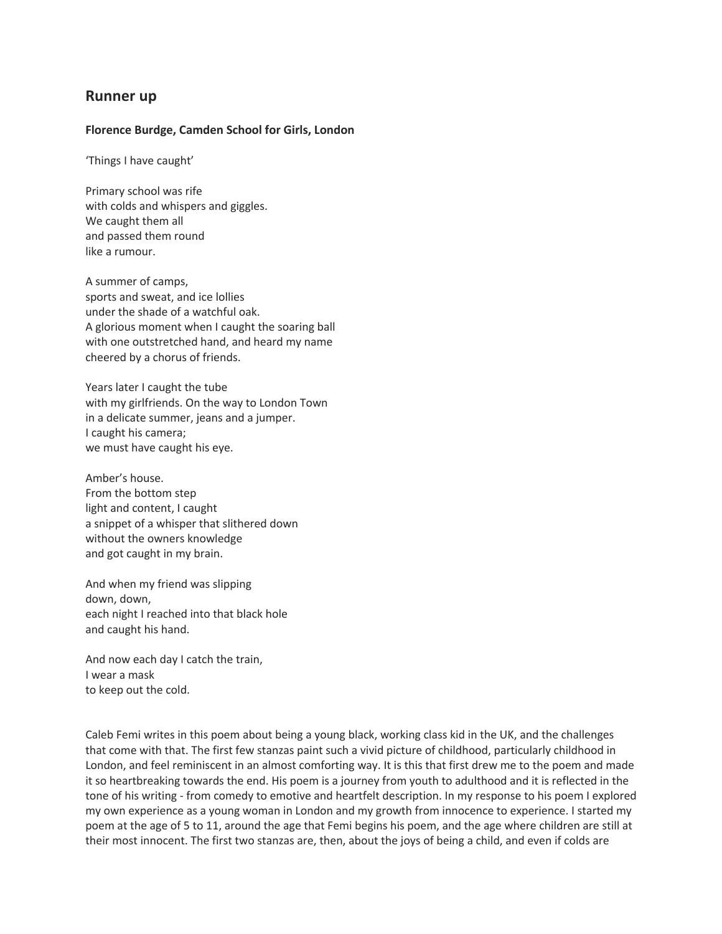# **Runner up**

#### **Florence Burdge, Camden School for Girls, London**

'Things I have caught'

Primary school was rife with colds and whispers and giggles. We caught them all and passed them round like a rumour.

A summer of camps, sports and sweat, and ice lollies under the shade of a watchful oak. A glorious moment when I caught the soaring ball with one outstretched hand, and heard my name cheered by a chorus of friends.

Years later I caught the tube with my girlfriends. On the way to London Town in a delicate summer, jeans and a jumper. I caught his camera; we must have caught his eye.

Amber's house. From the bottom step light and content, I caught a snippet of a whisper that slithered down without the owners knowledge and got caught in my brain.

And when my friend was slipping down, down, each night I reached into that black hole and caught his hand.

And now each day I catch the train, I wear a mask to keep out the cold.

Caleb Femi writes in this poem about being a young black, working class kid in the UK, and the challenges that come with that. The first few stanzas paint such a vivid picture of childhood, particularly childhood in London, and feel reminiscent in an almost comforting way. It is this that first drew me to the poem and made it so heartbreaking towards the end. His poem is a journey from youth to adulthood and it is reflected in the tone of his writing - from comedy to emotive and heartfelt description. In my response to his poem I explored my own experience as a young woman in London and my growth from innocence to experience. I started my poem at the age of 5 to 11, around the age that Femi begins his poem, and the age where children are still at their most innocent. The first two stanzas are, then, about the joys of being a child, and even if colds are